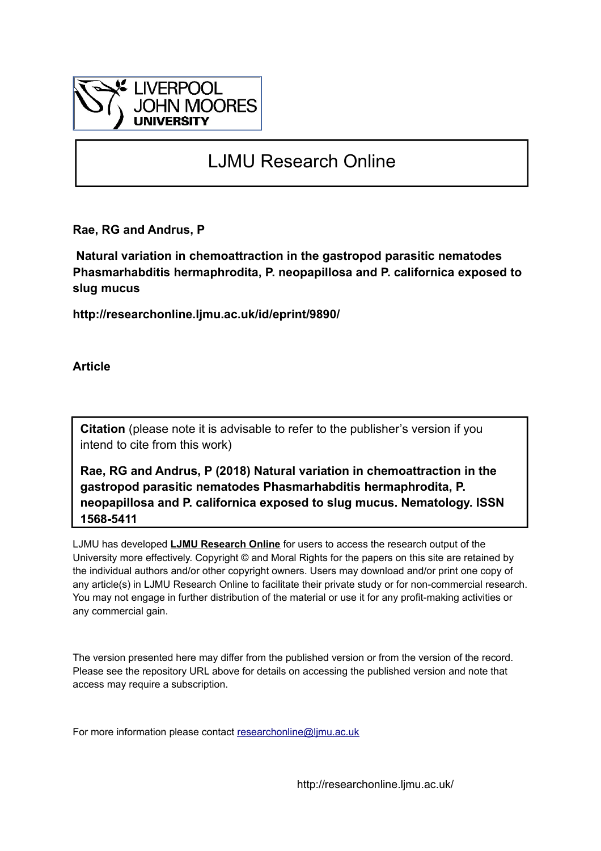

# LJMU Research Online

**Rae, RG and Andrus, P**

 **Natural variation in chemoattraction in the gastropod parasitic nematodes Phasmarhabditis hermaphrodita, P. neopapillosa and P. californica exposed to slug mucus**

**http://researchonline.ljmu.ac.uk/id/eprint/9890/**

**Article**

**Citation** (please note it is advisable to refer to the publisher's version if you intend to cite from this work)

**Rae, RG and Andrus, P (2018) Natural variation in chemoattraction in the gastropod parasitic nematodes Phasmarhabditis hermaphrodita, P. neopapillosa and P. californica exposed to slug mucus. Nematology. ISSN 1568-5411** 

LJMU has developed **[LJMU Research Online](http://researchonline.ljmu.ac.uk/)** for users to access the research output of the University more effectively. Copyright © and Moral Rights for the papers on this site are retained by the individual authors and/or other copyright owners. Users may download and/or print one copy of any article(s) in LJMU Research Online to facilitate their private study or for non-commercial research. You may not engage in further distribution of the material or use it for any profit-making activities or any commercial gain.

The version presented here may differ from the published version or from the version of the record. Please see the repository URL above for details on accessing the published version and note that access may require a subscription.

For more information please contact researchonline@limu.ac.uk

http://researchonline.ljmu.ac.uk/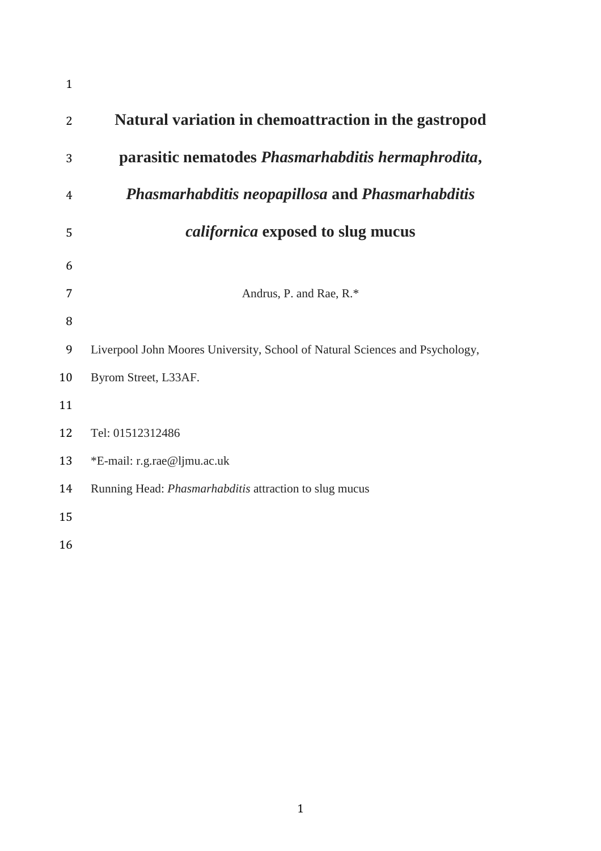| $\mathbf{1}$ |                                                                              |
|--------------|------------------------------------------------------------------------------|
| 2            | Natural variation in chemoattraction in the gastropod                        |
| 3            | parasitic nematodes Phasmarhabditis hermaphrodita,                           |
| 4            | <b>Phasmarhabditis neopapillosa and Phasmarhabditis</b>                      |
| 5            | <i>californica</i> exposed to slug mucus                                     |
| 6            |                                                                              |
| 7            | Andrus, P. and Rae, R.*                                                      |
| 8            |                                                                              |
| 9            | Liverpool John Moores University, School of Natural Sciences and Psychology, |
| 10           | Byrom Street, L33AF.                                                         |
| 11           |                                                                              |
| 12           | Tel: 01512312486                                                             |
| 13           | *E-mail: r.g.rae@ljmu.ac.uk                                                  |
| 14           | Running Head: Phasmarhabditis attraction to slug mucus                       |
| 15           |                                                                              |
| 16           |                                                                              |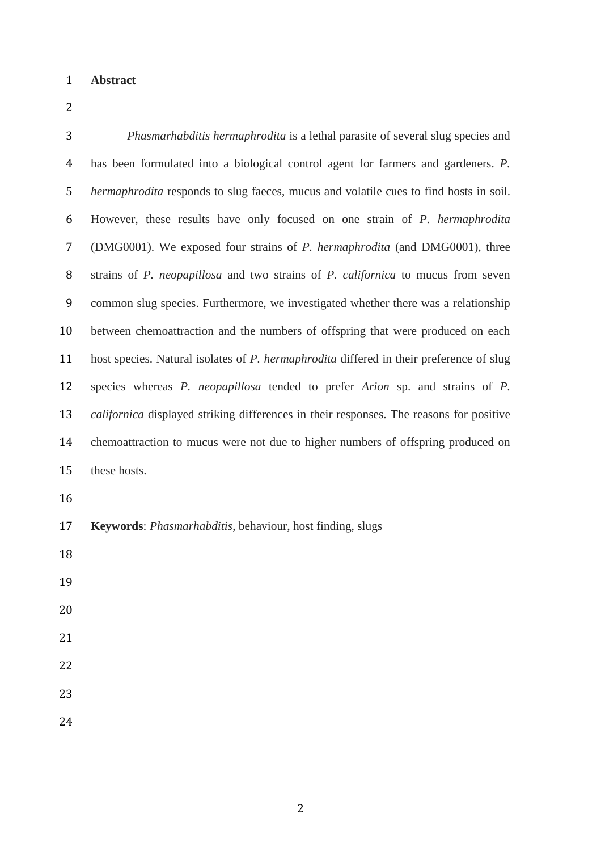#### **Abstract**

 *Phasmarhabditis hermaphrodita* is a lethal parasite of several slug species and has been formulated into a biological control agent for farmers and gardeners. *P. hermaphrodita* responds to slug faeces, mucus and volatile cues to find hosts in soil. However, these results have only focused on one strain of *P. hermaphrodita* (DMG0001). We exposed four strains of *P. hermaphrodita* (and DMG0001), three strains of *P. neopapillosa* and two strains of *P. californica* to mucus from seven common slug species. Furthermore, we investigated whether there was a relationship between chemoattraction and the numbers of offspring that were produced on each host species. Natural isolates of *P. hermaphrodita* differed in their preference of slug species whereas *P. neopapillosa* tended to prefer *Arion* sp. and strains of *P. californica* displayed striking differences in their responses. The reasons for positive chemoattraction to mucus were not due to higher numbers of offspring produced on these hosts. **Keywords**: *Phasmarhabditis*, behaviour, host finding, slugs 

- 
- 

- 
- 
-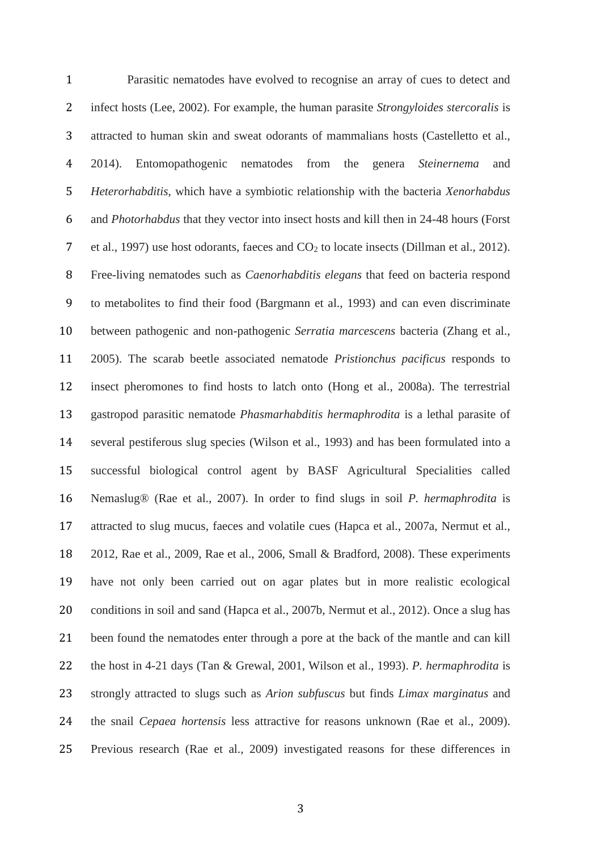Parasitic nematodes have evolved to recognise an array of cues to detect and infect hosts (Lee, 2002). For example, the human parasite *Strongyloides stercoralis* is attracted to human skin and sweat odorants of mammalians hosts (Castelletto et al., 2014). Entomopathogenic nematodes from the genera *Steinernema* and *Heterorhabditis*, which have a symbiotic relationship with the bacteria *Xenorhabdus* and *Photorhabdus* that they vector into insect hosts and kill then in 24-48 hours (Forst 7 et al., 1997) use host odorants, faeces and  $CO<sub>2</sub>$  to locate insects (Dillman et al., 2012). Free-living nematodes such as *Caenorhabditis elegans* that feed on bacteria respond to metabolites to find their food (Bargmann et al., 1993) and can even discriminate between pathogenic and non-pathogenic *Serratia marcescens* bacteria (Zhang et al., 2005). The scarab beetle associated nematode *Pristionchus pacificus* responds to insect pheromones to find hosts to latch onto (Hong et al., 2008a). The terrestrial gastropod parasitic nematode *Phasmarhabditis hermaphrodita* is a lethal parasite of several pestiferous slug species (Wilson et al., 1993) and has been formulated into a successful biological control agent by BASF Agricultural Specialities called Nemaslug® (Rae et al., 2007). In order to find slugs in soil *P. hermaphrodita* is attracted to slug mucus, faeces and volatile cues (Hapca et al., 2007a, Nermut et al., 2012, Rae et al., 2009, Rae et al., 2006, Small & Bradford, 2008). These experiments have not only been carried out on agar plates but in more realistic ecological conditions in soil and sand (Hapca et al., 2007b, Nermut et al., 2012). Once a slug has been found the nematodes enter through a pore at the back of the mantle and can kill the host in 4-21 days (Tan & Grewal, 2001, Wilson et al., 1993). *P. hermaphrodita* is strongly attracted to slugs such as *Arion subfuscus* but finds *Limax marginatus* and the snail *Cepaea hortensis* less attractive for reasons unknown (Rae et al., 2009). Previous research (Rae et al., 2009) investigated reasons for these differences in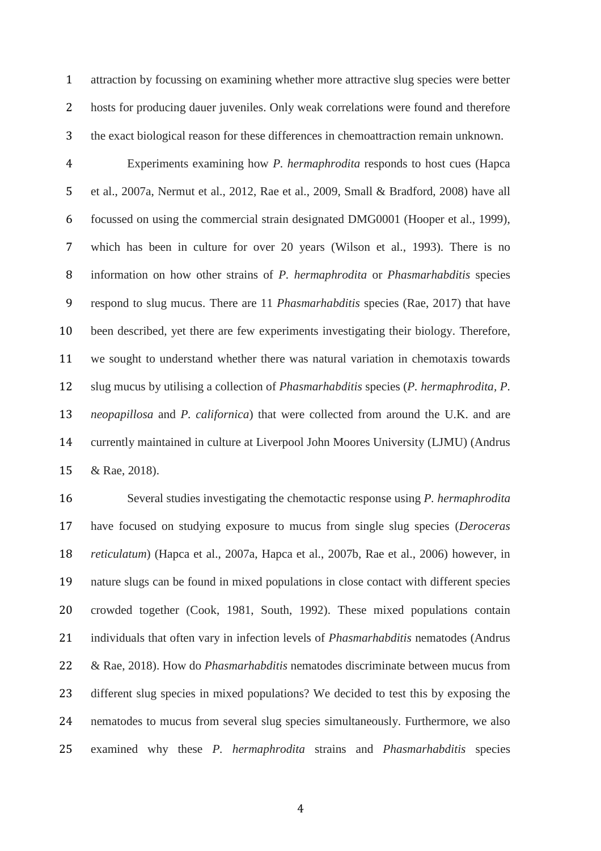attraction by focussing on examining whether more attractive slug species were better hosts for producing dauer juveniles. Only weak correlations were found and therefore the exact biological reason for these differences in chemoattraction remain unknown.

 Experiments examining how *P. hermaphrodita* responds to host cues (Hapca et al., 2007a, Nermut et al., 2012, Rae et al., 2009, Small & Bradford, 2008) have all focussed on using the commercial strain designated DMG0001 (Hooper et al., 1999), which has been in culture for over 20 years (Wilson et al., 1993). There is no information on how other strains of *P. hermaphrodita* or *Phasmarhabditis* species respond to slug mucus. There are 11 *Phasmarhabditis* species (Rae, 2017) that have been described, yet there are few experiments investigating their biology. Therefore, we sought to understand whether there was natural variation in chemotaxis towards slug mucus by utilising a collection of *Phasmarhabditis* species (*P. hermaphrodita, P. neopapillosa* and *P. californica*) that were collected from around the U.K. and are currently maintained in culture at Liverpool John Moores University (LJMU) (Andrus & Rae, 2018).

 Several studies investigating the chemotactic response using *P. hermaphrodita* have focused on studying exposure to mucus from single slug species (*Deroceras reticulatum*) (Hapca et al., 2007a, Hapca et al., 2007b, Rae et al., 2006) however, in nature slugs can be found in mixed populations in close contact with different species crowded together (Cook, 1981, South, 1992). These mixed populations contain individuals that often vary in infection levels of *Phasmarhabditis* nematodes (Andrus & Rae, 2018). How do *Phasmarhabditis* nematodes discriminate between mucus from different slug species in mixed populations? We decided to test this by exposing the nematodes to mucus from several slug species simultaneously. Furthermore, we also examined why these *P. hermaphrodita* strains and *Phasmarhabditis* species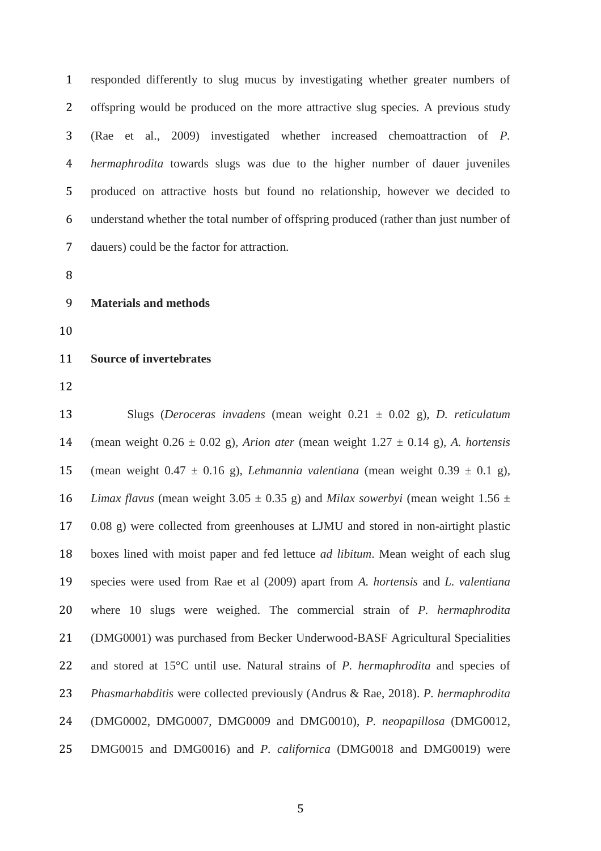responded differently to slug mucus by investigating whether greater numbers of offspring would be produced on the more attractive slug species. A previous study (Rae et al., 2009) investigated whether increased chemoattraction of *P. hermaphrodita* towards slugs was due to the higher number of dauer juveniles produced on attractive hosts but found no relationship, however we decided to understand whether the total number of offspring produced (rather than just number of dauers) could be the factor for attraction.

- 
- **Materials and methods**
- 

#### **Source of invertebrates**

 Slugs (*Deroceras invadens* (mean weight 0.21 ± 0.02 g)*, D. reticulatum*  (mean weight 0.26 ± 0.02 g)*, Arion ater* (mean weight 1.27 ± 0.14 g)*, A. hortensis* 15 (mean weight  $0.47 \pm 0.16$  g), *Lehmannia valentiana* (mean weight  $0.39 \pm 0.1$  g), *Limax flavus* (mean weight 3.05  $\pm$  0.35 g) and *Milax sowerbyi* (mean weight 1.56  $\pm$  0.08 g) were collected from greenhouses at LJMU and stored in non-airtight plastic boxes lined with moist paper and fed lettuce *ad libitum*. Mean weight of each slug species were used from Rae et al (2009) apart from *A. hortensis* and *L. valentiana* where 10 slugs were weighed. The commercial strain of *P. hermaphrodita* (DMG0001) was purchased from Becker Underwood-BASF Agricultural Specialities and stored at 15°C until use. Natural strains of *P. hermaphrodita* and species of *Phasmarhabditis* were collected previously (Andrus & Rae, 2018). *P. hermaphrodita* (DMG0002, DMG0007, DMG0009 and DMG0010), *P. neopapillosa* (DMG0012, DMG0015 and DMG0016) and *P. californica* (DMG0018 and DMG0019) were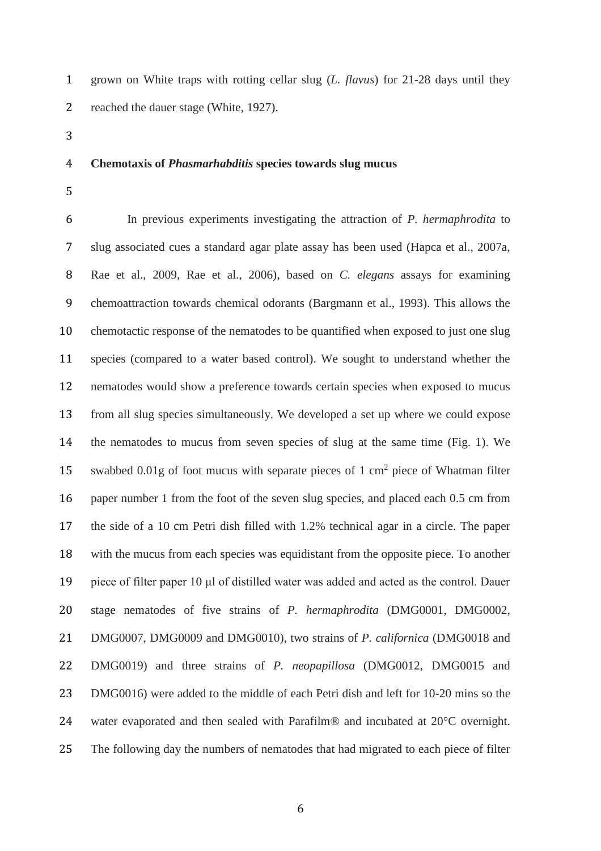grown on White traps with rotting cellar slug (*L. flavus*) for 21-28 days until they reached the dauer stage (White, 1927).

#### **Chemotaxis of** *Phasmarhabditis* **species towards slug mucus**

 In previous experiments investigating the attraction of *P. hermaphrodita* to slug associated cues a standard agar plate assay has been used (Hapca et al., 2007a, Rae et al., 2009, Rae et al., 2006), based on *C. elegans* assays for examining chemoattraction towards chemical odorants (Bargmann et al., 1993). This allows the chemotactic response of the nematodes to be quantified when exposed to just one slug species (compared to a water based control). We sought to understand whether the nematodes would show a preference towards certain species when exposed to mucus from all slug species simultaneously. We developed a set up where we could expose the nematodes to mucus from seven species of slug at the same time (Fig. 1). We 15 swabbed 0.01g of foot mucus with separate pieces of 1 cm<sup>2</sup> piece of Whatman filter paper number 1 from the foot of the seven slug species, and placed each 0.5 cm from the side of a 10 cm Petri dish filled with 1.2% technical agar in a circle. The paper with the mucus from each species was equidistant from the opposite piece. To another piece of filter paper 10 μl of distilled water was added and acted as the control. Dauer stage nematodes of five strains of *P. hermaphrodita* (DMG0001, DMG0002, DMG0007, DMG0009 and DMG0010), two strains of *P. californica* (DMG0018 and DMG0019) and three strains of *P. neopapillosa* (DMG0012, DMG0015 and DMG0016) were added to the middle of each Petri dish and left for 10-20 mins so the water evaporated and then sealed with Parafilm® and incubated at 20°C overnight. The following day the numbers of nematodes that had migrated to each piece of filter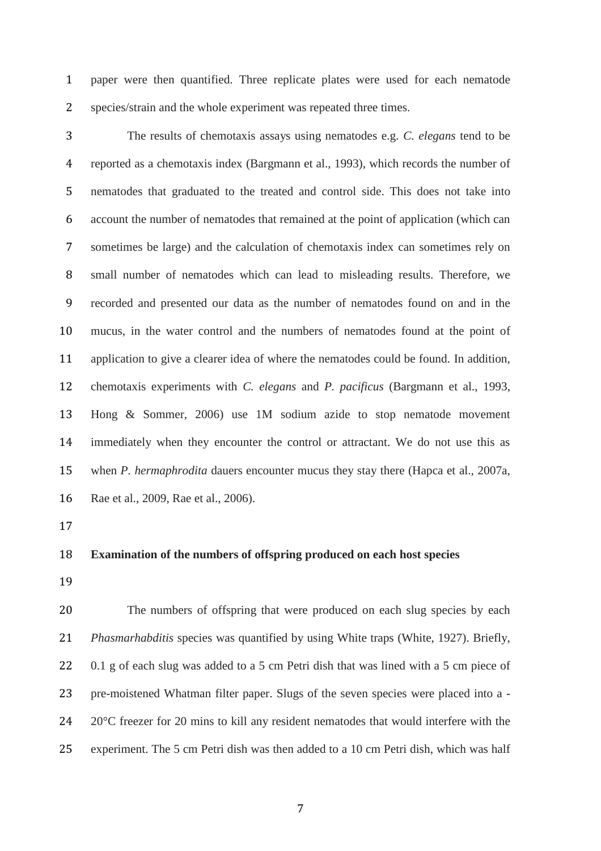paper were then quantified. Three replicate plates were used for each nematode species/strain and the whole experiment was repeated three times.

 The results of chemotaxis assays using nematodes e.g. *C. elegans* tend to be reported as a chemotaxis index (Bargmann et al., 1993), which records the number of nematodes that graduated to the treated and control side. This does not take into account the number of nematodes that remained at the point of application (which can sometimes be large) and the calculation of chemotaxis index can sometimes rely on small number of nematodes which can lead to misleading results. Therefore, we recorded and presented our data as the number of nematodes found on and in the mucus, in the water control and the numbers of nematodes found at the point of application to give a clearer idea of where the nematodes could be found. In addition, chemotaxis experiments with *C. elegans* and *P. pacificus* (Bargmann et al., 1993, Hong & Sommer, 2006) use 1M sodium azide to stop nematode movement immediately when they encounter the control or attractant. We do not use this as when *P. hermaphrodita* dauers encounter mucus they stay there (Hapca et al., 2007a, Rae et al., 2009, Rae et al., 2006).

### **Examination of the numbers of offspring produced on each host species**

 The numbers of offspring that were produced on each slug species by each *Phasmarhabditis* species was quantified by using White traps (White, 1927). Briefly, 22 0.1 g of each slug was added to a 5 cm Petri dish that was lined with a 5 cm piece of pre-moistened Whatman filter paper. Slugs of the seven species were placed into a - 24 20°C freezer for 20 mins to kill any resident nematodes that would interfere with the experiment. The 5 cm Petri dish was then added to a 10 cm Petri dish, which was half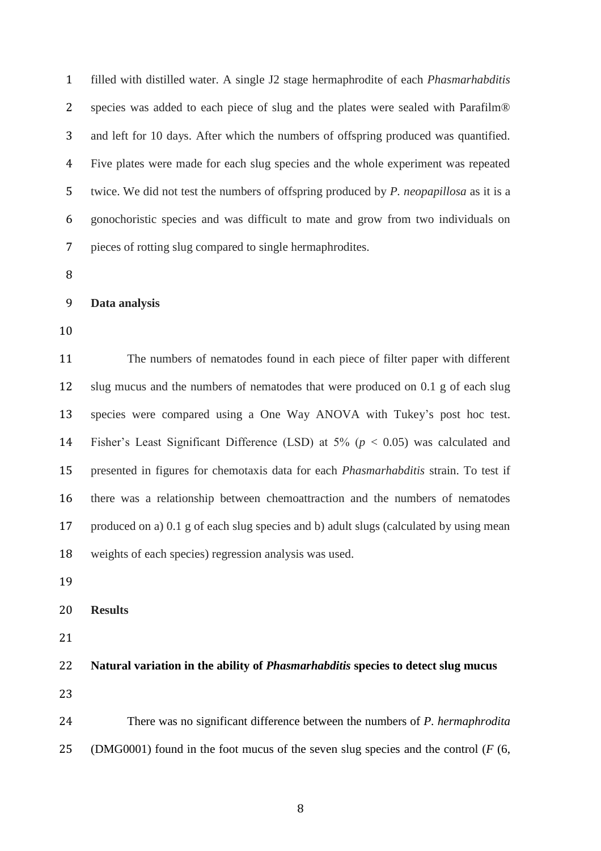filled with distilled water. A single J2 stage hermaphrodite of each *Phasmarhabditis* species was added to each piece of slug and the plates were sealed with Parafilm® and left for 10 days. After which the numbers of offspring produced was quantified. Five plates were made for each slug species and the whole experiment was repeated twice. We did not test the numbers of offspring produced by *P. neopapillosa* as it is a gonochoristic species and was difficult to mate and grow from two individuals on pieces of rotting slug compared to single hermaphrodites.

| 9 | Data analysis |  |
|---|---------------|--|
|   |               |  |

 The numbers of nematodes found in each piece of filter paper with different slug mucus and the numbers of nematodes that were produced on 0.1 g of each slug species were compared using a One Way ANOVA with Tukey's post hoc test. Fisher's Least Significant Difference (LSD) at 5% (*p* < 0.05) was calculated and presented in figures for chemotaxis data for each *Phasmarhabditis* strain. To test if there was a relationship between chemoattraction and the numbers of nematodes produced on a) 0.1 g of each slug species and b) adult slugs (calculated by using mean weights of each species) regression analysis was used.

**Results**

**Natural variation in the ability of** *Phasmarhabditis* **species to detect slug mucus**

 There was no significant difference between the numbers of *P. hermaphrodita* (DMG0001) found in the foot mucus of the seven slug species and the control (*F* (6,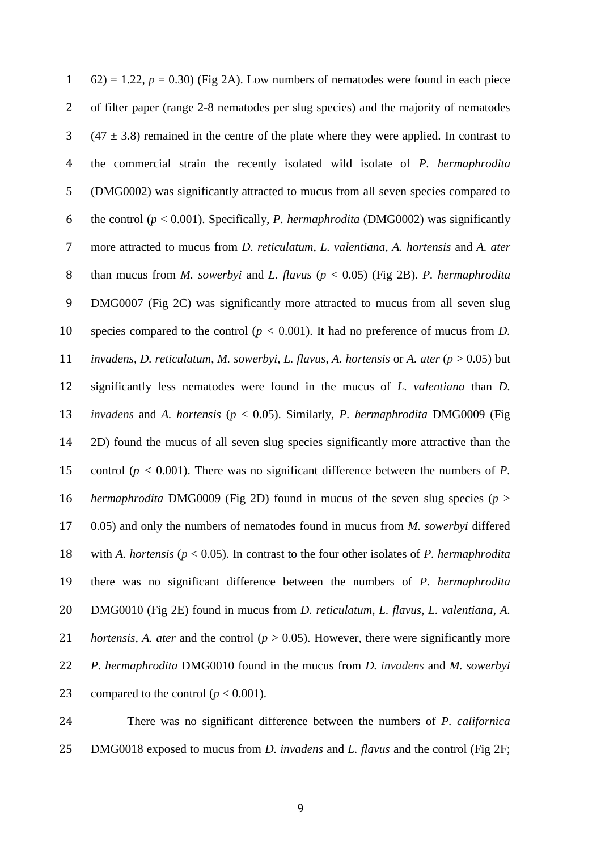| $\mathbf{1}$   | $(62) = 1.22$ , $p = 0.30$ ) (Fig 2A). Low numbers of nematodes were found in each piece                     |
|----------------|--------------------------------------------------------------------------------------------------------------|
| $\overline{2}$ | of filter paper (range 2-8 nematodes per slug species) and the majority of nematodes                         |
| 3              | $(47 \pm 3.8)$ remained in the centre of the plate where they were applied. In contrast to                   |
| $\overline{4}$ | the commercial strain the recently isolated wild isolate of P. hermaphrodita                                 |
| 5              | (DMG0002) was significantly attracted to mucus from all seven species compared to                            |
| 6              | the control ( $p < 0.001$ ). Specifically, <i>P. hermaphrodita</i> (DMG0002) was significantly               |
| 7              | more attracted to mucus from D. reticulatum, L. valentiana, A. hortensis and A. ater                         |
| 8              | than mucus from <i>M. sowerbyi</i> and <i>L. flavus</i> ( $p < 0.05$ ) (Fig 2B). <i>P. hermaphrodita</i>     |
| 9              | DMG0007 (Fig 2C) was significantly more attracted to mucus from all seven slug                               |
| 10             | species compared to the control ( $p < 0.001$ ). It had no preference of mucus from D.                       |
| 11             | invadens, D. reticulatum, M. sowerbyi, L. flavus, A. hortensis or A. ater ( $p > 0.05$ ) but                 |
| 12             | significantly less nematodes were found in the mucus of L. valentiana than D.                                |
| 13             | invadens and A. hortensis ( $p < 0.05$ ). Similarly, P. hermaphrodita DMG0009 (Fig.                          |
| 14             | 2D) found the mucus of all seven slug species significantly more attractive than the                         |
| 15             | control ( $p < 0.001$ ). There was no significant difference between the numbers of P.                       |
| 16             | hermaphrodita DMG0009 (Fig 2D) found in mucus of the seven slug species ( $p >$                              |
| 17             | $(0.05)$ and only the numbers of nematodes found in mucus from <i>M. sowerbyi</i> differed                   |
| 18             | with A. hortensis ( $p < 0.05$ ). In contrast to the four other isolates of P. hermaphrodita                 |
| 19             | there was no significant difference between the numbers of P. hermaphrodita                                  |
| 20             | DMG0010 (Fig 2E) found in mucus from D. reticulatum, L. flavus, L. valentiana, A.                            |
| 21             | <i>hortensis, A. ater and the control (<math>p &gt; 0.05</math>). However, there were significantly more</i> |
| 22             | P. hermaphrodita DMG0010 found in the mucus from D. invadens and M. sowerbyi                                 |
| 23             | compared to the control ( $p < 0.001$ ).                                                                     |
|                |                                                                                                              |

 There was no significant difference between the numbers of *P. californica* DMG0018 exposed to mucus from *D. invadens* and *L. flavus* and the control (Fig 2F;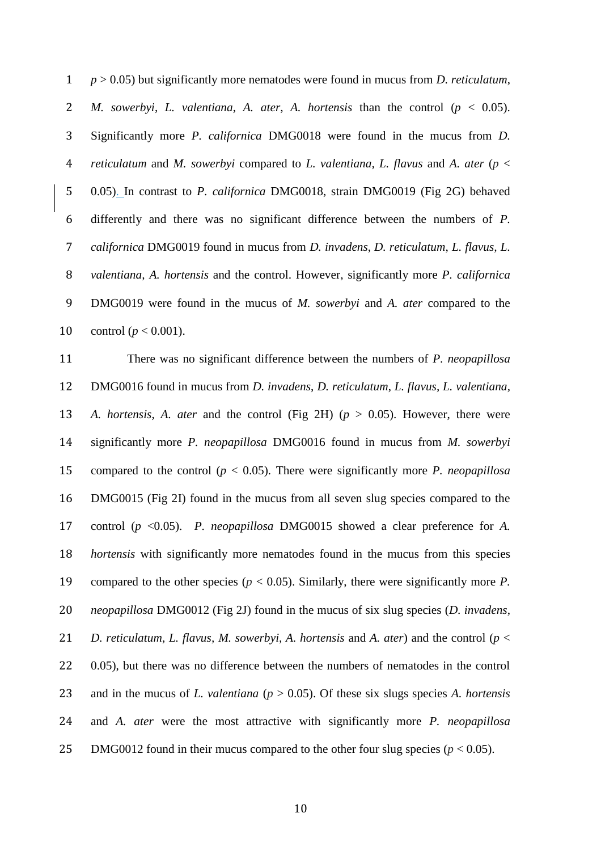*p* > 0.05) but significantly more nematodes were found in mucus from *D. reticulatum*, *M. sowerbyi*, *L. valentiana*, *A. ater*, *A. hortensis* than the control (*p* < 0.05). Significantly more *P. californica* DMG0018 were found in the mucus from *D. reticulatum* and *M. sowerbyi* compared to *L. valentiana, L. flavus* and *A. ater* (*p* < 0.05). In contrast to *P. californica* DMG0018, strain DMG0019 (Fig 2G) behaved differently and there was no significant difference between the numbers of *P. californica* DMG0019 found in mucus from *D. invadens*, *D. reticulatum*, *L. flavus, L. valentiana, A. hortensis* and the control. However, significantly more *P. californica* DMG0019 were found in the mucus of *M. sowerbyi* and *A. ater* compared to the 10 control  $(p < 0.001)$ .

 There was no significant difference between the numbers of *P. neopapillosa* DMG0016 found in mucus from *D. invadens*, *D. reticulatum*, *L. flavus, L. valentiana, A. hortensis*, *A. ater* and the control (Fig 2H) (*p* > 0.05). However, there were significantly more *P. neopapillosa* DMG0016 found in mucus from *M. sowerbyi* compared to the control (*p* < 0.05). There were significantly more *P. neopapillosa* DMG0015 (Fig 2I) found in the mucus from all seven slug species compared to the control (*p* <0.05). *P. neopapillosa* DMG0015 showed a clear preference for *A. hortensis* with significantly more nematodes found in the mucus from this species compared to the other species (*p* < 0.05). Similarly, there were significantly more *P. neopapillosa* DMG0012 (Fig 2J) found in the mucus of six slug species (*D. invadens*, *D. reticulatum*, *L. flavus, M. sowerbyi, A. hortensis* and *A. ater*) and the control (*p* < 0.05), but there was no difference between the numbers of nematodes in the control and in the mucus of *L. valentiana* (*p* > 0.05). Of these six slugs species *A. hortensis* and *A. ater* were the most attractive with significantly more *P. neopapillosa* 25 DMG0012 found in their mucus compared to the other four slug species  $(p < 0.05)$ .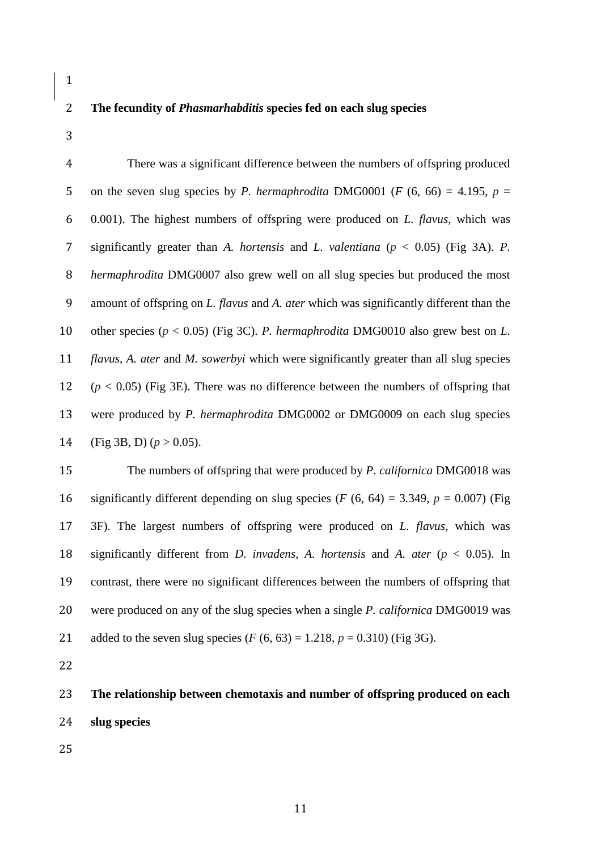## **The fecundity of** *Phasmarhabditis* **species fed on each slug species**

 There was a significant difference between the numbers of offspring produced 5 on the seven slug species by *P. hermaphrodita* DMG0001 ( $F$  (6, 66) = 4.195,  $p =$  0.001). The highest numbers of offspring were produced on *L. flavus,* which was significantly greater than *A. hortensis* and *L. valentiana* (*p* < 0.05) (Fig 3A). *P. hermaphrodita* DMG0007 also grew well on all slug species but produced the most amount of offspring on *L. flavus* and *A. ater* which was significantly different than the other species (*p* < 0.05) (Fig 3C). *P. hermaphrodita* DMG0010 also grew best on *L. flavus*, *A. ater* and *M. sowerbyi* which were significantly greater than all slug species (*p* < 0.05) (Fig 3E). There was no difference between the numbers of offspring that were produced by *P. hermaphrodita* DMG0002 or DMG0009 on each slug species 14 (Fig 3B, D)  $(p > 0.05)$ .

 The numbers of offspring that were produced by *P. californica* DMG0018 was 16 significantly different depending on slug species  $(F (6, 64) = 3.349, p = 0.007)$  (Fig 3F). The largest numbers of offspring were produced on *L. flavus*, which was significantly different from *D. invadens, A. hortensis* and *A. ater* (*p* < 0.05). In contrast, there were no significant differences between the numbers of offspring that were produced on any of the slug species when a single *P. californica* DMG0019 was 21 added to the seven slug species  $(F (6, 63) = 1.218, p = 0.310)$  (Fig 3G).

 **The relationship between chemotaxis and number of offspring produced on each slug species**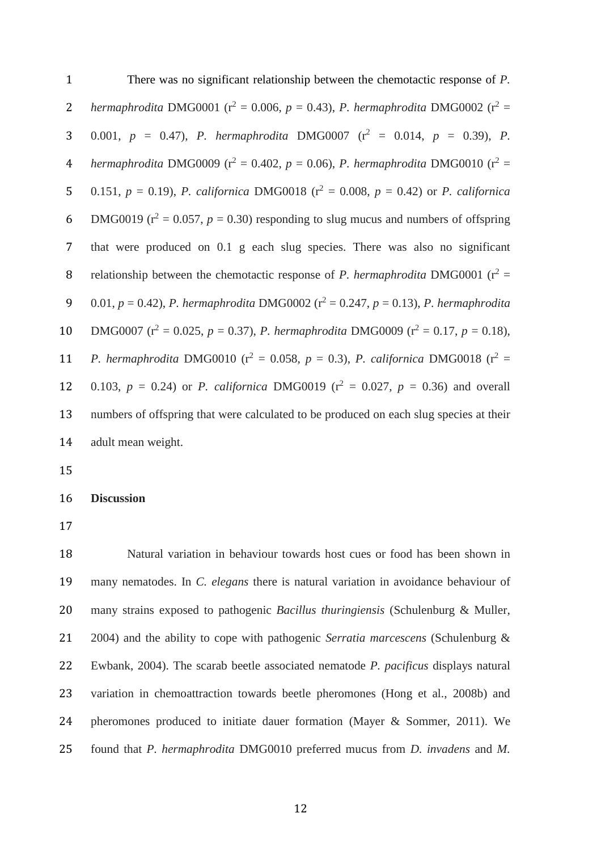There was no significant relationship between the chemotactic response of *P.*  **2** *hermaphrodita* DMG0001 ( $r^2 = 0.006$ ,  $p = 0.43$ ), *P. hermaphrodita* DMG0002 ( $r^2 =$ 3 0.001,  $p = 0.47$ , *P. hermaphrodita* DMG0007 ( $r^2 = 0.014$ ,  $p = 0.39$ ), *P. 4 hermaphrodita* DMG0009 ( $r^2 = 0.402$ ,  $p = 0.06$ ), *P. hermaphrodita* DMG0010 ( $r^2 =$ 5 0.151,  $p = 0.19$ ), *P. californica* DMG0018 ( $r^2 = 0.008$ ,  $p = 0.42$ ) or *P. californica* 6 DMG0019 ( $r^2 = 0.057$ ,  $p = 0.30$ ) responding to slug mucus and numbers of offspring that were produced on 0.1 g each slug species. There was also no significant 8 relationship between the chemotactic response of *P. hermaphrodita* DMG0001 ( $r^2$  = 9 0.01,  $p = 0.42$ ), *P. hermaphrodita* DMG0002 ( $r^2 = 0.247$ ,  $p = 0.13$ ), *P. hermaphrodita* 10 DMG0007 ( $r^2 = 0.025$ ,  $p = 0.37$ ), *P. hermaphrodita* DMG0009 ( $r^2 = 0.17$ ,  $p = 0.18$ ), **11** *P. hermaphrodita* DMG0010 ( $r^2 = 0.058$ ,  $p = 0.3$ ), *P. californica* DMG0018 ( $r^2 =$ 12 0.103,  $p = 0.24$  or *P. californica* DMG0019 ( $r^2 = 0.027$ ,  $p = 0.36$ ) and overall numbers of offspring that were calculated to be produced on each slug species at their adult mean weight.

**Discussion**

 Natural variation in behaviour towards host cues or food has been shown in many nematodes. In *C. elegans* there is natural variation in avoidance behaviour of many strains exposed to pathogenic *Bacillus thuringiensis* (Schulenburg & Muller, 2004) and the ability to cope with pathogenic *Serratia marcescens* (Schulenburg & Ewbank, 2004). The scarab beetle associated nematode *P. pacificus* displays natural variation in chemoattraction towards beetle pheromones (Hong et al., 2008b) and pheromones produced to initiate dauer formation (Mayer & Sommer, 2011). We found that *P. hermaphrodita* DMG0010 preferred mucus from *D. invadens* and *M.*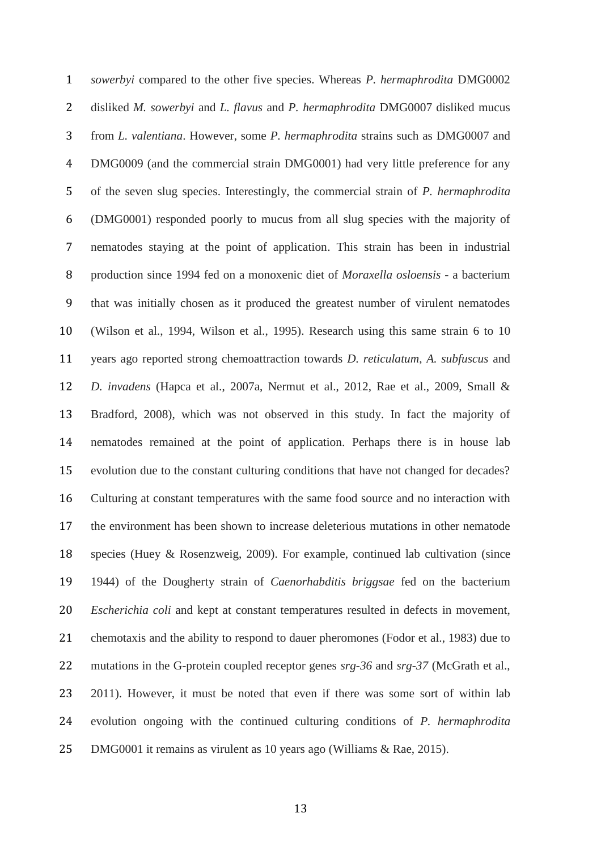*sowerbyi* compared to the other five species. Whereas *P. hermaphrodita* DMG0002 disliked *M. sowerbyi* and *L. flavus* and *P. hermaphrodita* DMG0007 disliked mucus from *L. valentiana*. However, some *P. hermaphrodita* strains such as DMG0007 and DMG0009 (and the commercial strain DMG0001) had very little preference for any of the seven slug species. Interestingly, the commercial strain of *P. hermaphrodita* (DMG0001) responded poorly to mucus from all slug species with the majority of nematodes staying at the point of application. This strain has been in industrial production since 1994 fed on a monoxenic diet of *Moraxella osloensis* - a bacterium that was initially chosen as it produced the greatest number of virulent nematodes (Wilson et al., 1994, Wilson et al., 1995). Research using this same strain 6 to 10 years ago reported strong chemoattraction towards *D. reticulatum*, *A. subfuscus* and *D. invadens* (Hapca et al., 2007a, Nermut et al., 2012, Rae et al., 2009, Small & Bradford, 2008), which was not observed in this study. In fact the majority of nematodes remained at the point of application. Perhaps there is in house lab evolution due to the constant culturing conditions that have not changed for decades? Culturing at constant temperatures with the same food source and no interaction with the environment has been shown to increase deleterious mutations in other nematode species (Huey & Rosenzweig, 2009). For example, continued lab cultivation (since 1944) of the Dougherty strain of *Caenorhabditis briggsae* fed on the bacterium *Escherichia coli* and kept at constant temperatures resulted in defects in movement, chemotaxis and the ability to respond to dauer pheromones (Fodor et al., 1983) due to mutations in the G-protein coupled receptor genes *srg-36* and *srg-37* (McGrath et al., 2011). However, it must be noted that even if there was some sort of within lab evolution ongoing with the continued culturing conditions of *P. hermaphrodita*  DMG0001 it remains as virulent as 10 years ago (Williams & Rae, 2015).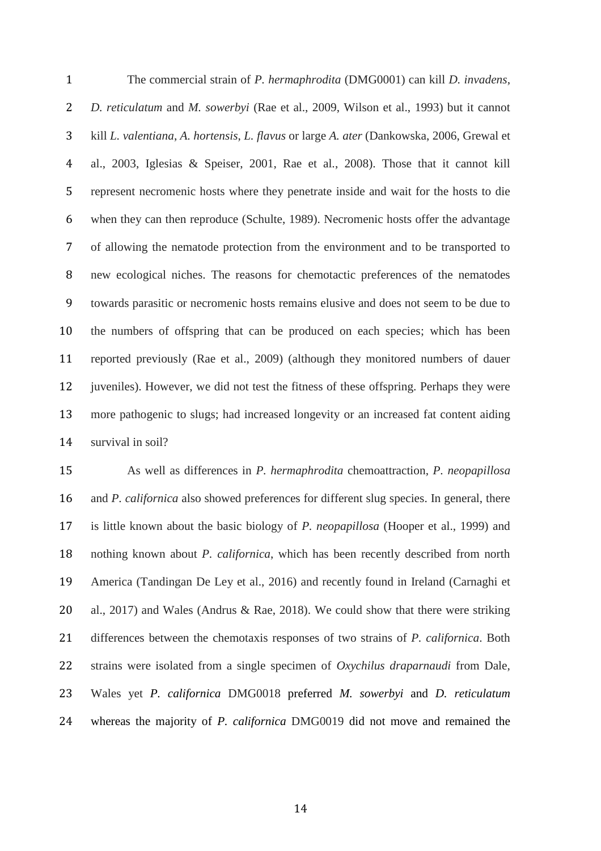The commercial strain of *P. hermaphrodita* (DMG0001) can kill *D. invadens*, *D. reticulatum* and *M. sowerbyi* (Rae et al., 2009, Wilson et al., 1993) but it cannot kill *L. valentiana*, *A. hortensis*, *L. flavus* or large *A. ater* (Dankowska, 2006, Grewal et al., 2003, Iglesias & Speiser, 2001, Rae et al., 2008). Those that it cannot kill represent necromenic hosts where they penetrate inside and wait for the hosts to die when they can then reproduce (Schulte, 1989). Necromenic hosts offer the advantage of allowing the nematode protection from the environment and to be transported to new ecological niches. The reasons for chemotactic preferences of the nematodes towards parasitic or necromenic hosts remains elusive and does not seem to be due to the numbers of offspring that can be produced on each species; which has been reported previously (Rae et al., 2009) (although they monitored numbers of dauer juveniles). However, we did not test the fitness of these offspring. Perhaps they were more pathogenic to slugs; had increased longevity or an increased fat content aiding survival in soil?

 As well as differences in *P. hermaphrodita* chemoattraction, *P. neopapillosa* and *P. californica* also showed preferences for different slug species. In general, there is little known about the basic biology of *P. neopapillosa* (Hooper et al., 1999) and nothing known about *P. californica*, which has been recently described from north America (Tandingan De Ley et al., 2016) and recently found in Ireland (Carnaghi et al., 2017) and Wales (Andrus & Rae, 2018). We could show that there were striking differences between the chemotaxis responses of two strains of *P. californica*. Both strains were isolated from a single specimen of *Oxychilus draparnaudi* from Dale, Wales yet *P. californica* DMG0018 preferred *M. sowerbyi* and *D. reticulatum* whereas the majority of *P. californica* DMG0019 did not move and remained the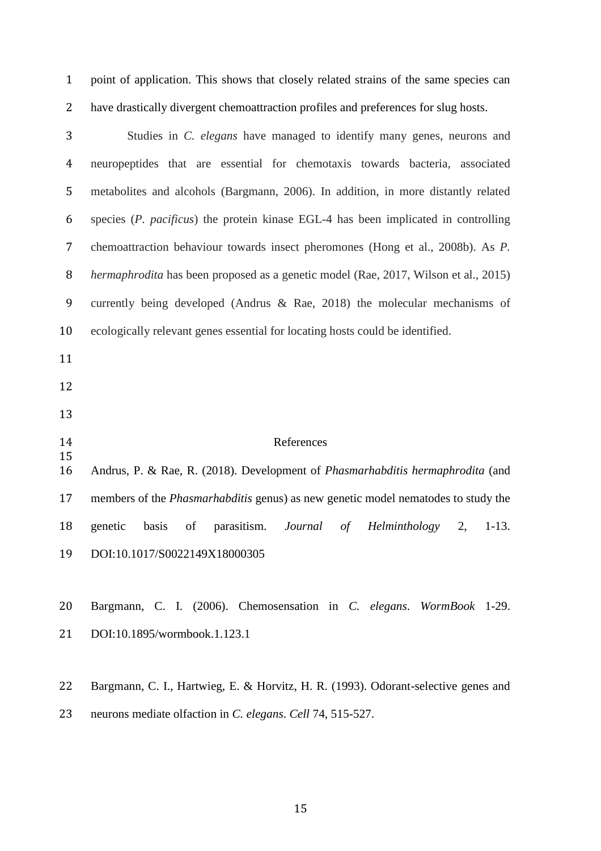point of application. This shows that closely related strains of the same species can have drastically divergent chemoattraction profiles and preferences for slug hosts.

| 3              | Studies in C. elegans have managed to identify many genes, neurons and                   |
|----------------|------------------------------------------------------------------------------------------|
| $\overline{4}$ | neuropeptides that are essential for chemotaxis towards bacteria, associated             |
| 5              | metabolites and alcohols (Bargmann, 2006). In addition, in more distantly related        |
| 6              | species (P. pacificus) the protein kinase EGL-4 has been implicated in controlling       |
| 7              | chemoattraction behaviour towards insect pheromones (Hong et al., 2008b). As P.          |
| 8              | hermaphrodita has been proposed as a genetic model (Rae, 2017, Wilson et al., 2015)      |
| 9              | currently being developed (Andrus & Rae, 2018) the molecular mechanisms of               |
| 10             | ecologically relevant genes essential for locating hosts could be identified.            |
| 11             |                                                                                          |
| 12             |                                                                                          |
| 13             |                                                                                          |
| 14             | References                                                                               |
| 15<br>16       | Andrus, P. & Rae, R. (2018). Development of Phasmarhabditis hermaphrodita (and           |
| 17             | members of the <i>Phasmarhabditis</i> genus) as new genetic model nematodes to study the |
| 18             | of parasitism. <i>Journal of</i><br>$1-13.$<br>genetic<br>basis<br>Helminthology<br>2,   |
| 19             | DOI:10.1017/S0022149X18000305                                                            |
|                |                                                                                          |
| 20             | Bargmann, C. I. (2006). Chemosensation in C. elegans. WormBook 1-29.                     |
| 21             | DOI:10.1895/wormbook.1.123.1                                                             |
|                |                                                                                          |

Bargmann, C. I., Hartwieg, E. & Horvitz, H. R. (1993). Odorant-selective genes and

neurons mediate olfaction in *C. elegans*. *Cell* 74, 515-527.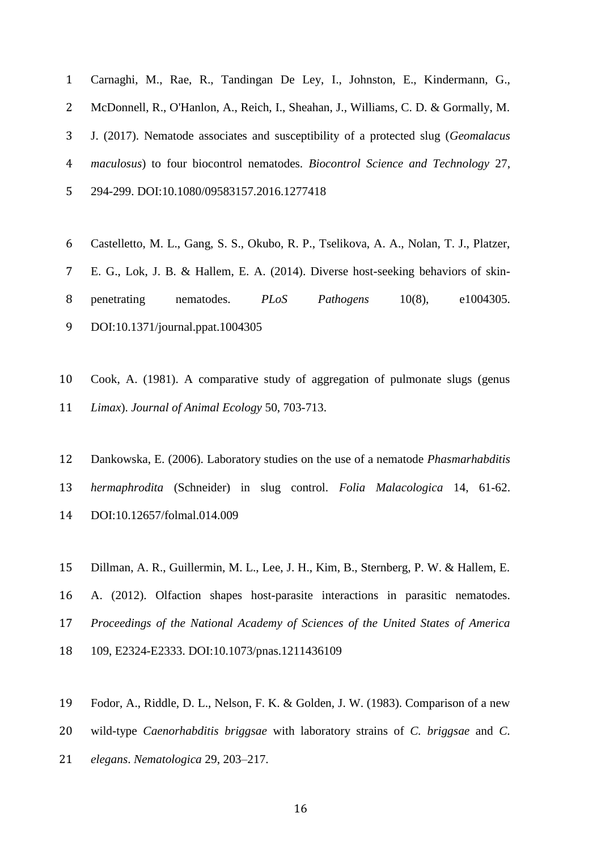Carnaghi, M., Rae, R., Tandingan De Ley, I., Johnston, E., Kindermann, G., McDonnell, R., O'Hanlon, A., Reich, I., Sheahan, J., Williams, C. D. & Gormally, M. J. (2017). Nematode associates and susceptibility of a protected slug (*Geomalacus maculosus*) to four biocontrol nematodes. *Biocontrol Science and Technology* 27, 294-299. DOI:10.1080/09583157.2016.1277418

- Castelletto, M. L., Gang, S. S., Okubo, R. P., Tselikova, A. A., Nolan, T. J., Platzer, E. G., Lok, J. B. & Hallem, E. A. (2014). Diverse host-seeking behaviors of skin- penetrating nematodes. *PLoS Pathogens* 10(8), e1004305. DOI:10.1371/journal.ppat.1004305
- Cook, A. (1981). A comparative study of aggregation of pulmonate slugs (genus *Limax*). *Journal of Animal Ecology* 50, 703-713.
- Dankowska, E. (2006). Laboratory studies on the use of a nematode *Phasmarhabditis hermaphrodita* (Schneider) in slug control. *Folia Malacologica* 14, 61-62. DOI:10.12657/folmal.014.009
- Dillman, A. R., Guillermin, M. L., Lee, J. H., Kim, B., Sternberg, P. W. & Hallem, E. A. (2012). Olfaction shapes host-parasite interactions in parasitic nematodes. *Proceedings of the National Academy of Sciences of the United States of America*  109, E2324-E2333. DOI:10.1073/pnas.1211436109
- Fodor, A., Riddle, D. L., Nelson, F. K. & Golden, J. W. (1983). Comparison of a new
- wild-type *Caenorhabditis briggsae* with laboratory strains of *C. briggsae* and *C.*
- *elegans*. *Nematologica* 29, 203–217.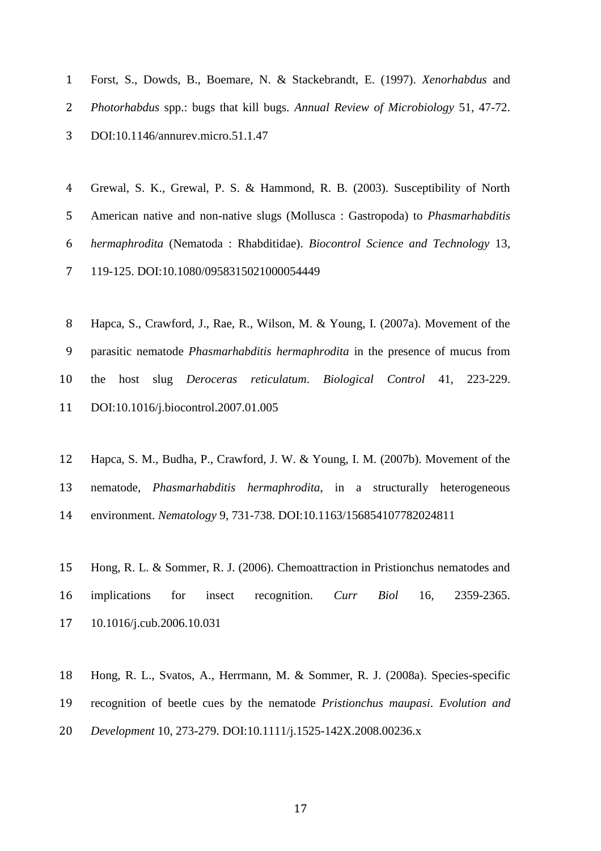| 1 | Forst, S., Dowds, B., Boemare, N. & Stackebrandt, E. (1997). <i>Xenorhabdus</i> and       |
|---|-------------------------------------------------------------------------------------------|
|   | 2 <i>Photorhabdus</i> spp.: bugs that kill bugs. Annual Review of Microbiology 51, 47-72. |
|   | 3 DOI:10.1146/annurev.micro.51.1.47                                                       |

 Grewal, S. K., Grewal, P. S. & Hammond, R. B. (2003). Susceptibility of North American native and non-native slugs (Mollusca : Gastropoda) to *Phasmarhabditis hermaphrodita* (Nematoda : Rhabditidae). *Biocontrol Science and Technology* 13, 119-125. DOI:10.1080/0958315021000054449

 Hapca, S., Crawford, J., Rae, R., Wilson, M. & Young, I. (2007a). Movement of the parasitic nematode *Phasmarhabditis hermaphrodita* in the presence of mucus from the host slug *Deroceras reticulatum*. *Biological Control* 41, 223-229. DOI:10.1016/j.biocontrol.2007.01.005

Hapca, S. M., Budha, P., Crawford, J. W. & Young, I. M. (2007b). Movement of the

nematode, *Phasmarhabditis hermaphrodita*, in a structurally heterogeneous

environment. *Nematology* 9, 731-738. DOI:10.1163/156854107782024811

 Hong, R. L. & Sommer, R. J. (2006). Chemoattraction in Pristionchus nematodes and implications for insect recognition. *Curr Biol* 16, 2359-2365. 10.1016/j.cub.2006.10.031

 Hong, R. L., Svatos, A., Herrmann, M. & Sommer, R. J. (2008a). Species-specific recognition of beetle cues by the nematode *Pristionchus maupasi*. *Evolution and Development* 10, 273-279. DOI:10.1111/j.1525-142X.2008.00236.x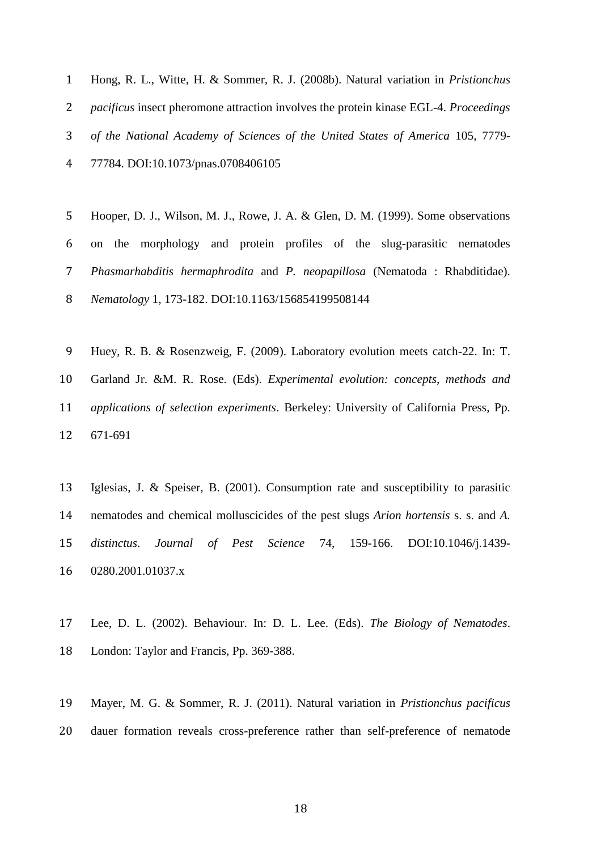| 1 Hong, R. L., Witte, H. & Sommer, R. J. (2008b). Natural variation in <i>Pristionchus</i>           |
|------------------------------------------------------------------------------------------------------|
| 2 <i>pacificus</i> insect pheromone attraction involves the protein kinase EGL-4. <i>Proceedings</i> |
| 3 of the National Academy of Sciences of the United States of America 105, 7779-                     |
| 4 77784. DOI:10.1073/pnas.0708406105                                                                 |

- Hooper, D. J., Wilson, M. J., Rowe, J. A. & Glen, D. M. (1999). Some observations on the morphology and protein profiles of the slug-parasitic nematodes *Phasmarhabditis hermaphrodita* and *P. neopapillosa* (Nematoda : Rhabditidae). *Nematology* 1, 173-182. DOI:10.1163/156854199508144
- Huey, R. B. & Rosenzweig, F. (2009). Laboratory evolution meets catch-22. In: T. Garland Jr. &M. R. Rose. (Eds). *Experimental evolution: concepts, methods and applications of selection experiments*. Berkeley: University of California Press, Pp. 671-691
- Iglesias, J. & Speiser, B. (2001). Consumption rate and susceptibility to parasitic nematodes and chemical molluscicides of the pest slugs *Arion hortensis* s. s. and *A. distinctus*. *Journal of Pest Science* 74, 159-166. DOI:10.1046/j.1439- 0280.2001.01037.x
- Lee, D. L. (2002). Behaviour. In: D. L. Lee. (Eds). *The Biology of Nematodes*. London: Taylor and Francis, Pp. 369-388.
- Mayer, M. G. & Sommer, R. J. (2011). Natural variation in *Pristionchus pacificus* dauer formation reveals cross-preference rather than self-preference of nematode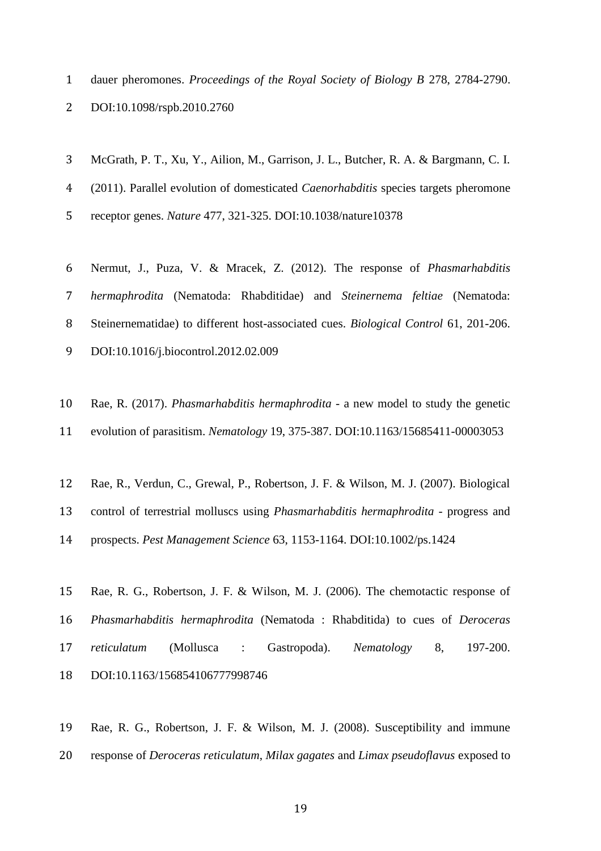- dauer pheromones. *Proceedings of the Royal Society of Biology B* 278, 2784-2790.
- DOI:10.1098/rspb.2010.2760
- McGrath, P. T., Xu, Y., Ailion, M., Garrison, J. L., Butcher, R. A. & Bargmann, C. I.
- (2011). Parallel evolution of domesticated *Caenorhabditis* species targets pheromone
- receptor genes. *Nature* 477, 321-325. DOI:10.1038/nature10378
- Nermut, J., Puza, V. & Mracek, Z. (2012). The response of *Phasmarhabditis hermaphrodita* (Nematoda: Rhabditidae) and *Steinernema feltiae* (Nematoda: Steinernematidae) to different host-associated cues. *Biological Control* 61, 201-206. DOI:10.1016/j.biocontrol.2012.02.009
- Rae, R. (2017). *Phasmarhabditis hermaphrodita* a new model to study the genetic evolution of parasitism. *Nematology* 19, 375-387. DOI:10.1163/15685411-00003053
- Rae, R., Verdun, C., Grewal, P., Robertson, J. F. & Wilson, M. J. (2007). Biological
- control of terrestrial molluscs using *Phasmarhabditis hermaphrodita* progress and
- prospects. *Pest Management Science* 63, 1153-1164. DOI:10.1002/ps.1424
- Rae, R. G., Robertson, J. F. & Wilson, M. J. (2006). The chemotactic response of *Phasmarhabditis hermaphrodita* (Nematoda : Rhabditida) to cues of *Deroceras reticulatum* (Mollusca : Gastropoda). *Nematology* 8, 197-200. DOI:10.1163/156854106777998746
- Rae, R. G., Robertson, J. F. & Wilson, M. J. (2008). Susceptibility and immune response of *Deroceras reticulatum*, *Milax gagates* and *Limax pseudoflavus* exposed to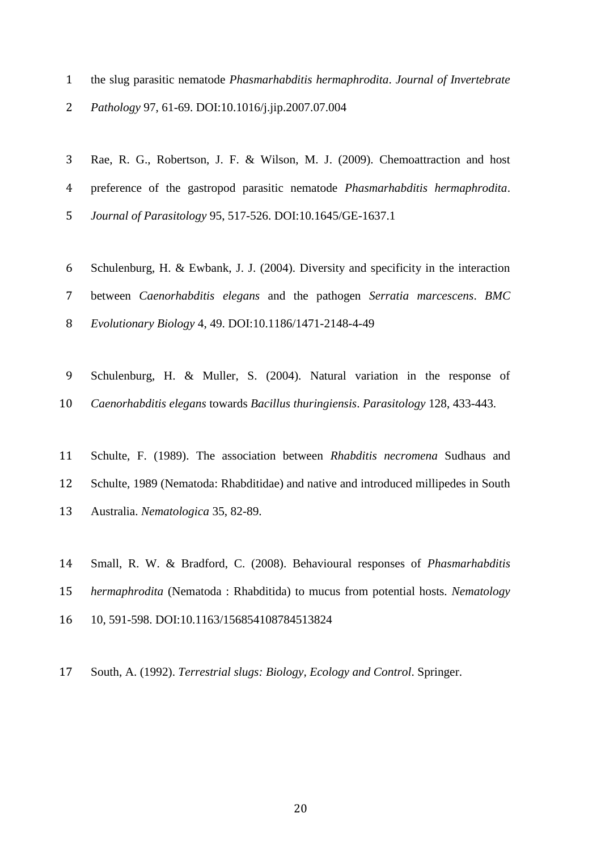the slug parasitic nematode *Phasmarhabditis hermaphrodita*. *Journal of Invertebrate* 

*Pathology* 97, 61-69. DOI:10.1016/j.jip.2007.07.004

- Rae, R. G., Robertson, J. F. & Wilson, M. J. (2009). Chemoattraction and host preference of the gastropod parasitic nematode *Phasmarhabditis hermaphrodita*. *Journal of Parasitology* 95, 517-526. DOI:10.1645/GE-1637.1 Schulenburg, H. & Ewbank, J. J. (2004). Diversity and specificity in the interaction between *Caenorhabditis elegans* and the pathogen *Serratia marcescens*. *BMC*
- *Evolutionary Biology* 4, 49. DOI:10.1186/1471-2148-4-49
- Schulenburg, H. & Muller, S. (2004). Natural variation in the response of *Caenorhabditis elegans* towards *Bacillus thuringiensis*. *Parasitology* 128, 433-443.
- Schulte, F. (1989). The association between *Rhabditis necromena* Sudhaus and Schulte, 1989 (Nematoda: Rhabditidae) and native and introduced millipedes in South
- Australia. *Nematologica* 35, 82-89.
- Small, R. W. & Bradford, C. (2008). Behavioural responses of *Phasmarhabditis hermaphrodita* (Nematoda : Rhabditida) to mucus from potential hosts. *Nematology*
- 10, 591-598. DOI:10.1163/156854108784513824
- South, A. (1992). *Terrestrial slugs: Biology, Ecology and Control*. Springer.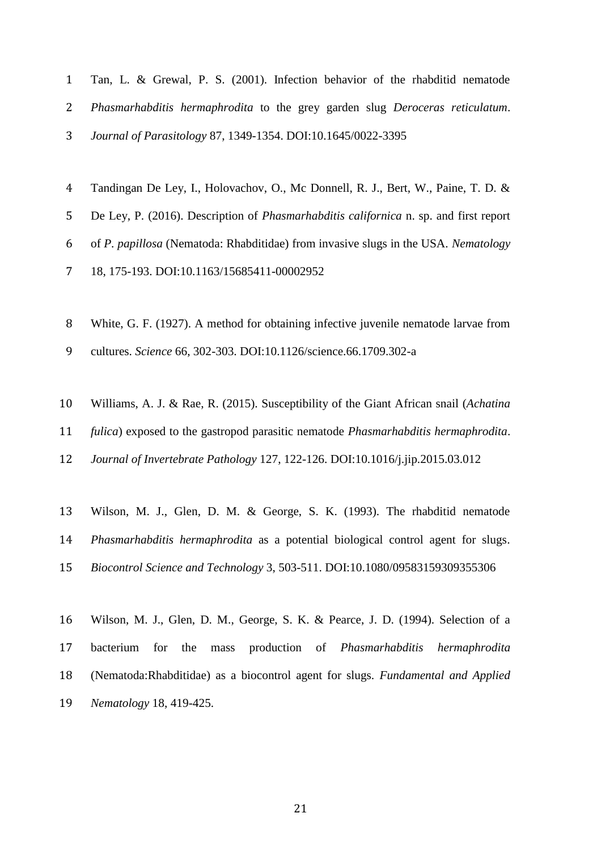| Tan, L. & Grewal, P. S. (2001). Infection behavior of the rhability nematode   |
|--------------------------------------------------------------------------------|
| 2 Phasmarhabditis hermaphrodita to the grey garden slug Deroceras reticulatum. |
| 3 <i>Journal of Parasitology</i> 87, 1349-1354. DOI:10.1645/0022-3395          |

| 4 Tandingan De Ley, I., Holovachov, O., Mc Donnell, R. J., Bert, W., Paine, T. D. &            |
|------------------------------------------------------------------------------------------------|
| 5 De Ley, P. (2016). Description of <i>Phasmarhabditis californica</i> n. sp. and first report |
| 6 of P. papillosa (Nematoda: Rhabditidae) from invasive slugs in the USA. Nematology           |
| 7 18, 175-193. DOI:10.1163/15685411-00002952                                                   |

White, G. F. (1927). A method for obtaining infective juvenile nematode larvae from

cultures. *Science* 66, 302-303. DOI:10.1126/science.66.1709.302-a

- Williams, A. J. & Rae, R. (2015). Susceptibility of the Giant African snail (*Achatina fulica*) exposed to the gastropod parasitic nematode *Phasmarhabditis hermaphrodita*. *Journal of Invertebrate Pathology* 127, 122-126. DOI:10.1016/j.jip.2015.03.012
- Wilson, M. J., Glen, D. M. & George, S. K. (1993). The rhabditid nematode *Phasmarhabditis hermaphrodita* as a potential biological control agent for slugs. *Biocontrol Science and Technology* 3, 503-511. DOI:10.1080/09583159309355306
- Wilson, M. J., Glen, D. M., George, S. K. & Pearce, J. D. (1994). Selection of a bacterium for the mass production of *Phasmarhabditis hermaphrodita* (Nematoda:Rhabditidae) as a biocontrol agent for slugs. *Fundamental and Applied Nematology* 18, 419-425.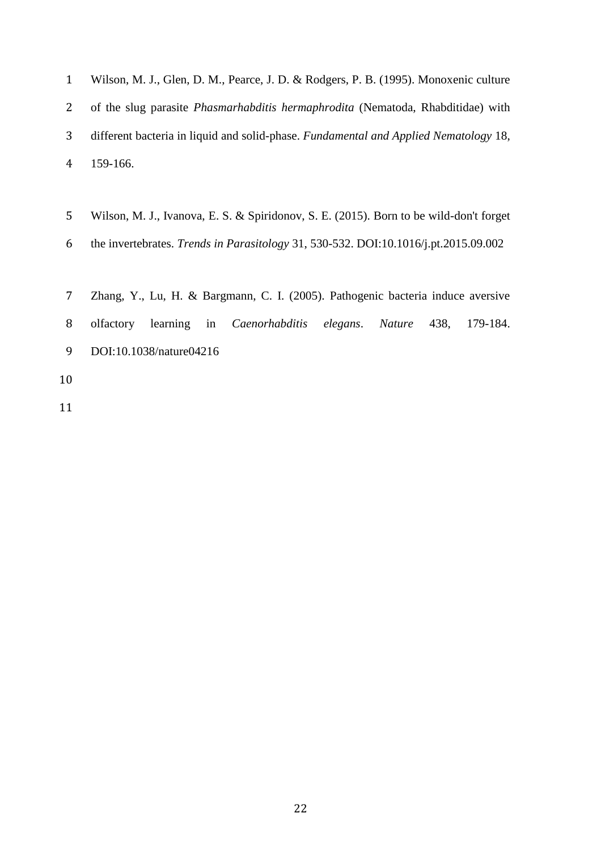| Wilson, M. J., Glen, D. M., Pearce, J. D. & Rodgers, P. B. (1995). Monoxenic culture     |
|------------------------------------------------------------------------------------------|
| 2 of the slug parasite <i>Phasmarhabditis hermaphrodita</i> (Nematoda, Rhabditidae) with |
| different bacteria in liquid and solid-phase. Fundamental and Applied Nematology 18,     |
| 4 159-166.                                                                               |

- Wilson, M. J., Ivanova, E. S. & Spiridonov, S. E. (2015). Born to be wild-don't forget
- the invertebrates. *Trends in Parasitology* 31, 530-532. DOI:10.1016/j.pt.2015.09.002
- Zhang, Y., Lu, H. & Bargmann, C. I. (2005). Pathogenic bacteria induce aversive olfactory learning in *Caenorhabditis elegans*. *Nature* 438, 179-184. DOI:10.1038/nature04216
-